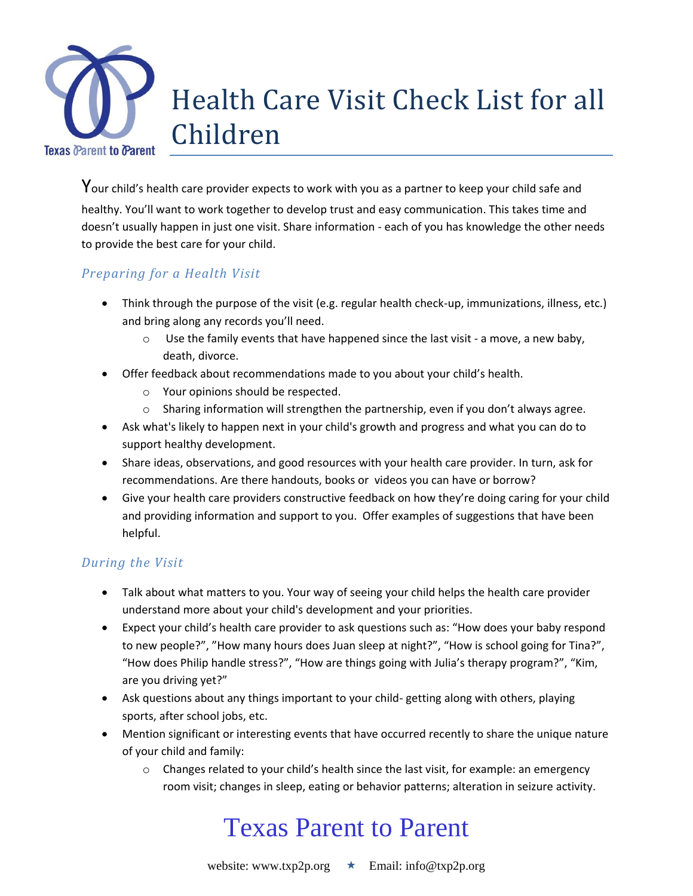

Your child's health care provider expects to work with you as a partner to keep your child safe and healthy. You'll want to work together to develop trust and easy communication. This takes time and doesn't usually happen in just one visit. Share information - each of you has knowledge the other needs to provide the best care for your child.

### *Preparing for a Health Visit*

- Think through the purpose of the visit (e.g. regular health check-up, immunizations, illness, etc.) and bring along any records you'll need.
	- $\circ$  Use the family events that have happened since the last visit a move, a new baby, death, divorce.
- Offer feedback about recommendations made to you about your child's health.
	- o Your opinions should be respected.
	- $\circ$  Sharing information will strengthen the partnership, even if you don't always agree.
- Ask what's likely to happen next in your child's growth and progress and what you can do to support healthy development.
- Share ideas, observations, and good resources with your health care provider. In turn, ask for recommendations. Are there handouts, books or videos you can have or borrow?
- Give your health care providers constructive feedback on how they're doing caring for your child and providing information and support to you. Offer examples of suggestions that have been helpful.

### *During the Visit*

- Talk about what matters to you. Your way of seeing your child helps the health care provider understand more about your child's development and your priorities.
- Expect your child's health care provider to ask questions such as: "How does your baby respond to new people?", "How many hours does Juan sleep at night?", "How is school going for Tina?", "How does Philip handle stress?", "How are things going with Julia's therapy program?", "Kim, are you driving yet?"
- Ask questions about any things important to your child- getting along with others, playing sports, after school jobs, etc.
- Mention significant or interesting events that have occurred recently to share the unique nature of your child and family:
	- $\circ$  Changes related to your child's health since the last visit, for example: an emergency room visit; changes in sleep, eating or behavior patterns; alteration in seizure activity.

# Texas Parent to Parent